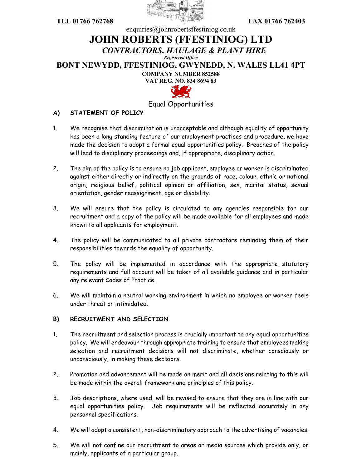



## enquiries@johnrobertsffestiniog.co.uk **JOHN ROBERTS (FFESTINIOG) LTD** *CONTRACTORS, HAULAGE & PLANT HIRE Registered Office* **BONT NEWYDD, FFESTINIOG, GWYNEDD, N. WALES LL41 4PT COMPANY NUMBER 852588 VAT REG. NO. 834 8694 83**



## Equal Opportunities

## **A) STATEMENT OF POLICY**

- 1. We recognise that discrimination is unacceptable and although equality of opportunity has been a long standing feature of our employment practices and procedure, we have made the decision to adopt a formal equal opportunities policy. Breaches of the policy will lead to disciplinary proceedings and, if appropriate, disciplinary action.
- 2. The aim of the policy is to ensure no job applicant, employee or worker is discriminated against either directly or indirectly on the grounds of race, colour, ethnic or national origin, religious belief, political opinion or affiliation, sex, marital status, sexual orientation, gender reassignment, age or disability.
- 3. We will ensure that the policy is circulated to any agencies responsible for our recruitment and a copy of the policy will be made available for all employees and made known to all applicants for employment.
- 4. The policy will be communicated to all private contractors reminding them of their responsibilities towards the equality of opportunity.
- 5. The policy will be implemented in accordance with the appropriate statutory requirements and full account will be taken of all available guidance and in particular any relevant Codes of Practice.
- 6. We will maintain a neutral working environment in which no employee or worker feels under threat or intimidated.

## **B) RECRUITMENT AND SELECTION**

- 1. The recruitment and selection process is crucially important to any equal opportunities policy. We will endeavour through appropriate training to ensure that employees making selection and recruitment decisions will not discriminate, whether consciously or unconsciously, in making these decisions.
- 2. Promotion and advancement will be made on merit and all decisions relating to this will be made within the overall framework and principles of this policy.
- 3. Job descriptions, where used, will be revised to ensure that they are in line with our equal opportunities policy. Job requirements will be reflected accurately in any personnel specifications.
- 4. We will adopt a consistent, non-discriminatory approach to the advertising of vacancies.
- 5. We will not confine our recruitment to areas or media sources which provide only, or mainly, applicants of a particular group.